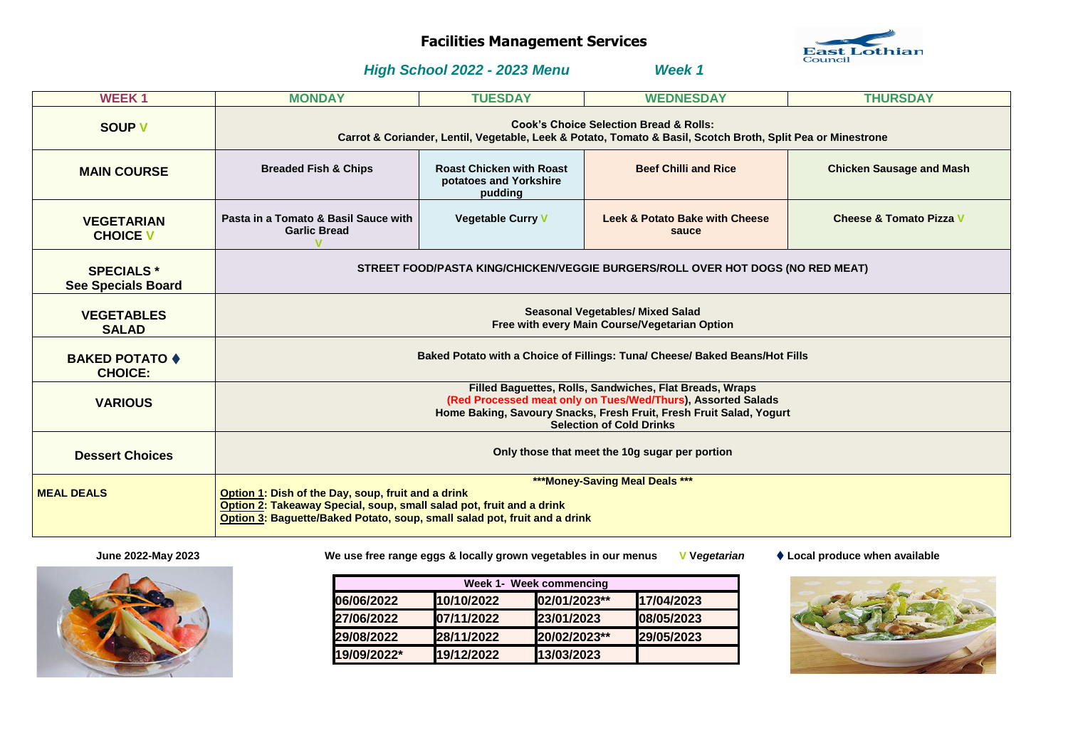# **Facilities Management Services**

## *High School 2022 - 2023 Menu Week 1*

| <b>WEEK1</b>                                   | <b>MONDAY</b>                                                                                                                                                                                                                             | <b>TUESDAY</b>                                                       | <b>WEDNESDAY</b>                                   | <b>THURSDAY</b>                    |
|------------------------------------------------|-------------------------------------------------------------------------------------------------------------------------------------------------------------------------------------------------------------------------------------------|----------------------------------------------------------------------|----------------------------------------------------|------------------------------------|
| <b>SOUP V</b>                                  | <b>Cook's Choice Selection Bread &amp; Rolls:</b><br>Carrot & Coriander, Lentil, Vegetable, Leek & Potato, Tomato & Basil, Scotch Broth, Split Pea or Minestrone                                                                          |                                                                      |                                                    |                                    |
| <b>MAIN COURSE</b>                             | <b>Breaded Fish &amp; Chips</b>                                                                                                                                                                                                           | <b>Roast Chicken with Roast</b><br>potatoes and Yorkshire<br>pudding | <b>Beef Chilli and Rice</b>                        | <b>Chicken Sausage and Mash</b>    |
| <b>VEGETARIAN</b><br><b>CHOICE V</b>           | Pasta in a Tomato & Basil Sauce with<br><b>Garlic Bread</b>                                                                                                                                                                               | <b>Vegetable Curry V</b>                                             | <b>Leek &amp; Potato Bake with Cheese</b><br>sauce | <b>Cheese &amp; Tomato Pizza V</b> |
| <b>SPECIALS *</b><br><b>See Specials Board</b> | STREET FOOD/PASTA KING/CHICKEN/VEGGIE BURGERS/ROLL OVER HOT DOGS (NO RED MEAT)                                                                                                                                                            |                                                                      |                                                    |                                    |
| <b>VEGETABLES</b><br><b>SALAD</b>              | <b>Seasonal Vegetables/ Mixed Salad</b><br>Free with every Main Course/Vegetarian Option                                                                                                                                                  |                                                                      |                                                    |                                    |
| <b>BAKED POTATO ♦</b><br><b>CHOICE:</b>        | Baked Potato with a Choice of Fillings: Tuna/ Cheese/ Baked Beans/Hot Fills                                                                                                                                                               |                                                                      |                                                    |                                    |
| <b>VARIOUS</b>                                 | Filled Baguettes, Rolls, Sandwiches, Flat Breads, Wraps<br>(Red Processed meat only on Tues/Wed/Thurs), Assorted Salads<br>Home Baking, Savoury Snacks, Fresh Fruit, Fresh Fruit Salad, Yogurt<br><b>Selection of Cold Drinks</b>         |                                                                      |                                                    |                                    |
| <b>Dessert Choices</b>                         | Only those that meet the 10g sugar per portion                                                                                                                                                                                            |                                                                      |                                                    |                                    |
| <b>MEAL DEALS</b>                              | ***Money-Saving Meal Deals ***<br>Option 1: Dish of the Day, soup, fruit and a drink<br>Option 2: Takeaway Special, soup, small salad pot, fruit and a drink<br>Option 3: Baguette/Baked Potato, soup, small salad pot, fruit and a drink |                                                                      |                                                    |                                    |



 **June 2022-May 2023 We use free range eggs & locally grown vegetables in our menus V V***egetarian* **Local produce when available**

|             |            | <b>Week 1- Week commencing</b> |            |
|-------------|------------|--------------------------------|------------|
| 06/06/2022  | 10/10/2022 | 02/01/2023**                   | 17/04/2023 |
| 27/06/2022  | 07/11/2022 | 23/01/2023                     | 08/05/2023 |
| 29/08/2022  | 28/11/2022 | 20/02/2023**                   | 29/05/2023 |
| 19/09/2022* | 19/12/2022 | 13/03/2023                     |            |



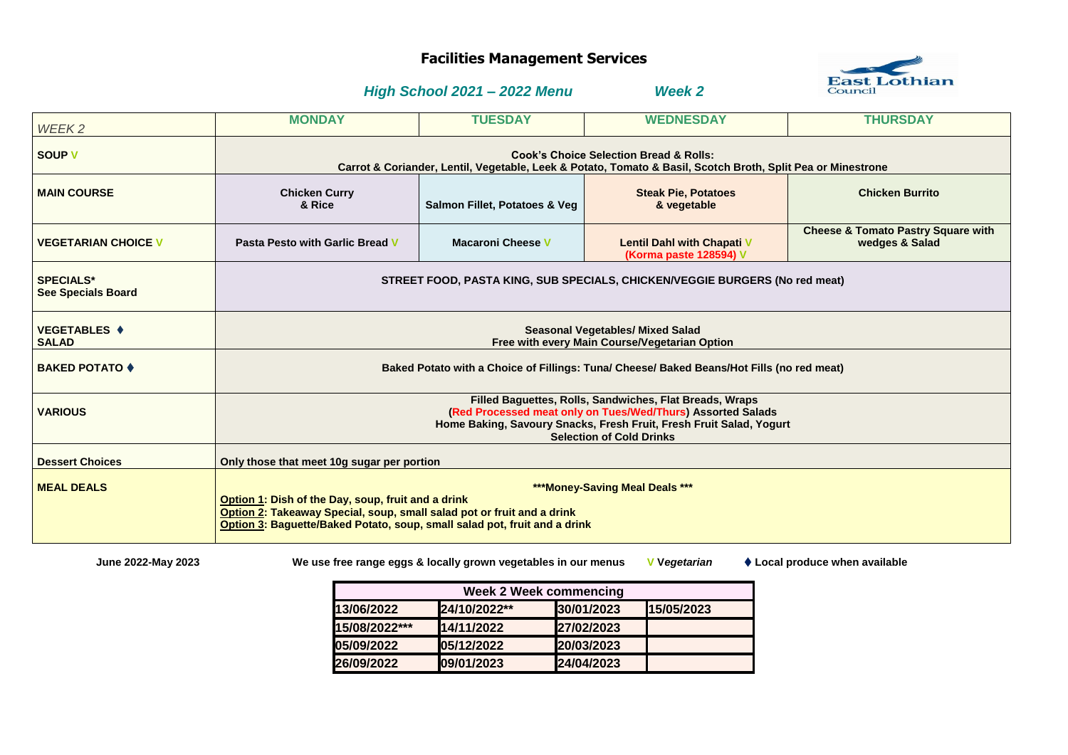# **Facilities Management Services**

## *High School 2021 – 2022 Menu Week 2*

| WEEK2                                         | <b>MONDAY</b>                                                                                                                                                                                                                               | <b>TUESDAY</b>                | <b>WEDNESDAY</b>                                            | <b>THURSDAY</b>                                                 |
|-----------------------------------------------|---------------------------------------------------------------------------------------------------------------------------------------------------------------------------------------------------------------------------------------------|-------------------------------|-------------------------------------------------------------|-----------------------------------------------------------------|
| <b>SOUP V</b>                                 | <b>Cook's Choice Selection Bread &amp; Rolls:</b><br>Carrot & Coriander, Lentil, Vegetable, Leek & Potato, Tomato & Basil, Scotch Broth, Split Pea or Minestrone                                                                            |                               |                                                             |                                                                 |
| <b>MAIN COURSE</b>                            | <b>Chicken Curry</b><br>& Rice                                                                                                                                                                                                              | Salmon Fillet, Potatoes & Veg | <b>Steak Pie, Potatoes</b><br>& vegetable                   | <b>Chicken Burrito</b>                                          |
| <b>VEGETARIAN CHOICE V</b>                    | <b>Pasta Pesto with Garlic Bread V</b>                                                                                                                                                                                                      | <b>Macaroni Cheese V</b>      | <b>Lentil Dahl with Chapati V</b><br>(Korma paste 128594) V | <b>Cheese &amp; Tomato Pastry Square with</b><br>wedges & Salad |
| <b>SPECIALS*</b><br><b>See Specials Board</b> | STREET FOOD, PASTA KING, SUB SPECIALS, CHICKEN/VEGGIE BURGERS (No red meat)                                                                                                                                                                 |                               |                                                             |                                                                 |
| <b>VEGETABLES ♦</b><br><b>SALAD</b>           | <b>Seasonal Vegetables/ Mixed Salad</b><br>Free with every Main Course/Vegetarian Option                                                                                                                                                    |                               |                                                             |                                                                 |
| <b>BAKED POTATO ♦</b>                         | Baked Potato with a Choice of Fillings: Tuna/ Cheese/ Baked Beans/Hot Fills (no red meat)                                                                                                                                                   |                               |                                                             |                                                                 |
| <b>VARIOUS</b>                                | Filled Baguettes, Rolls, Sandwiches, Flat Breads, Wraps<br>(Red Processed meat only on Tues/Wed/Thurs) Assorted Salads<br>Home Baking, Savoury Snacks, Fresh Fruit, Fresh Fruit Salad, Yogurt<br><b>Selection of Cold Drinks</b>            |                               |                                                             |                                                                 |
| <b>Dessert Choices</b>                        | Only those that meet 10g sugar per portion                                                                                                                                                                                                  |                               |                                                             |                                                                 |
| <b>MEAL DEALS</b>                             | ***Money-Saving Meal Deals ***<br>Option 1: Dish of the Day, soup, fruit and a drink<br>Option 2: Takeaway Special, soup, small salad pot or fruit and a drink<br>Option 3: Baguette/Baked Potato, soup, small salad pot, fruit and a drink |                               |                                                             |                                                                 |

 **June 2022-May 2023 We use free range eggs & locally grown vegetables in our menus V V***egetarian* **Local produce when available**

| <b>Week 2 Week commencing</b> |              |            |            |  |
|-------------------------------|--------------|------------|------------|--|
| 13/06/2022                    | 24/10/2022** | 30/01/2023 | 15/05/2023 |  |
| 15/08/2022***                 | 14/11/2022   | 27/02/2023 |            |  |
| 05/09/2022                    | 05/12/2022   | 20/03/2023 |            |  |
| 26/09/2022                    | 09/01/2023   | 24/04/2023 |            |  |